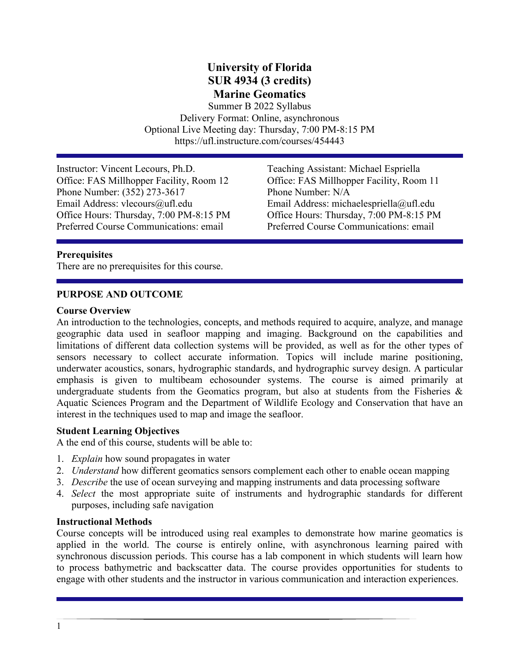# **University of Florida SUR 4934 (3 credits) Marine Geomatics**

Summer B 2022 Syllabus Delivery Format: Online, asynchronous Optional Live Meeting day: Thursday, 7:00 PM-8:15 PM https://ufl.instructure.com/courses/454443

Instructor: Vincent Lecours, Ph.D. Teaching Assistant: Michael Espriella Office: FAS Millhopper Facility, Room 12 Office: FAS Millhopper Facility, Room 11 Phone Number: (352) 273-3617 Phone Number: N/A Office Hours: Thursday, 7:00 PM-8:15 PM Office Hours: Thursday, 7:00 PM-8:15 PM Preferred Course Communications: email Preferred Course Communications: email

Email Address: michaelespriella@ufl.edu

#### **Prerequisites**

There are no prerequisites for this course.

### **PURPOSE AND OUTCOME**

#### **Course Overview**

An introduction to the technologies, concepts, and methods required to acquire, analyze, and manage geographic data used in seafloor mapping and imaging. Background on the capabilities and limitations of different data collection systems will be provided, as well as for the other types of sensors necessary to collect accurate information. Topics will include marine positioning, underwater acoustics, sonars, hydrographic standards, and hydrographic survey design. A particular emphasis is given to multibeam echosounder systems. The course is aimed primarily at undergraduate students from the Geomatics program, but also at students from the Fisheries  $\&$ Aquatic Sciences Program and the Department of Wildlife Ecology and Conservation that have an interest in the techniques used to map and image the seafloor.

#### **Student Learning Objectives**

A the end of this course, students will be able to:

- 1. *Explain* how sound propagates in water
- 2. *Understand* how different geomatics sensors complement each other to enable ocean mapping
- 3. *Describe* the use of ocean surveying and mapping instruments and data processing software
- 4. *Select* the most appropriate suite of instruments and hydrographic standards for different purposes, including safe navigation

#### **Instructional Methods**

Course concepts will be introduced using real examples to demonstrate how marine geomatics is applied in the world. The course is entirely online, with asynchronous learning paired with synchronous discussion periods. This course has a lab component in which students will learn how to process bathymetric and backscatter data. The course provides opportunities for students to engage with other students and the instructor in various communication and interaction experiences.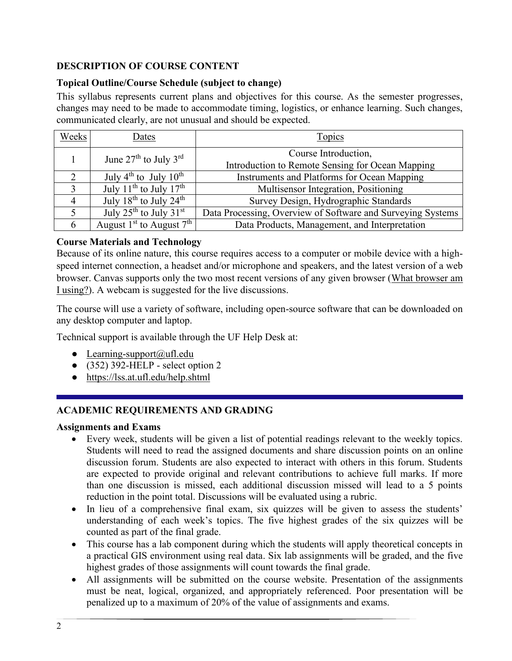# **DESCRIPTION OF COURSE CONTENT**

# **Topical Outline/Course Schedule (subject to change)**

This syllabus represents current plans and objectives for this course. As the semester progresses, changes may need to be made to accommodate timing, logistics, or enhance learning. Such changes, communicated clearly, are not unusual and should be expected.

| Weeks | Dates                                          | Topics                                                                   |  |  |  |  |  |  |
|-------|------------------------------------------------|--------------------------------------------------------------------------|--|--|--|--|--|--|
|       | June $27th$ to July $3rd$                      | Course Introduction,<br>Introduction to Remote Sensing for Ocean Mapping |  |  |  |  |  |  |
|       | July $4^{th}$ to July $10^{th}$                | Instruments and Platforms for Ocean Mapping                              |  |  |  |  |  |  |
| 3     | July 11 <sup>th</sup> to July 17 <sup>th</sup> | Multisensor Integration, Positioning                                     |  |  |  |  |  |  |
| 4     | July $18^{th}$ to July $24^{th}$               | Survey Design, Hydrographic Standards                                    |  |  |  |  |  |  |
|       | July $25^{\text{th}}$ to July $31^{\text{st}}$ | Data Processing, Overview of Software and Surveying Systems              |  |  |  |  |  |  |
| 6     | August $1st$ to August $7th$                   | Data Products, Management, and Interpretation                            |  |  |  |  |  |  |

# **Course Materials and Technology**

Because of its online nature, this course requires access to a computer or mobile device with a highspeed internet connection, a headset and/or microphone and speakers, and the latest version of a web browser. Canvas supports only the two most recent versions of any given browser [\(What browser am](http://whatbrowser.org/)  [I using?\)](http://whatbrowser.org/). A webcam is suggested for the live discussions.

The course will use a variety of software, including open-source software that can be downloaded on any desktop computer and laptop.

Technical support is available through the UF Help Desk at:

- Learning-support $(\partial_t u f \cdot \mathbf{1})$ .edu
- $\bullet$  (352) 392-HELP select option 2
- <https://lss.at.ufl.edu/help.shtml>

# **ACADEMIC REQUIREMENTS AND GRADING**

# **Assignments and Exams**

- Every week, students will be given a list of potential readings relevant to the weekly topics. Students will need to read the assigned documents and share discussion points on an online discussion forum. Students are also expected to interact with others in this forum. Students are expected to provide original and relevant contributions to achieve full marks. If more than one discussion is missed, each additional discussion missed will lead to a 5 points reduction in the point total. Discussions will be evaluated using a rubric.
- In lieu of a comprehensive final exam, six quizzes will be given to assess the students' understanding of each week's topics. The five highest grades of the six quizzes will be counted as part of the final grade.
- This course has a lab component during which the students will apply theoretical concepts in a practical GIS environment using real data. Six lab assignments will be graded, and the five highest grades of those assignments will count towards the final grade.
- All assignments will be submitted on the course website. Presentation of the assignments must be neat, logical, organized, and appropriately referenced. Poor presentation will be penalized up to a maximum of 20% of the value of assignments and exams.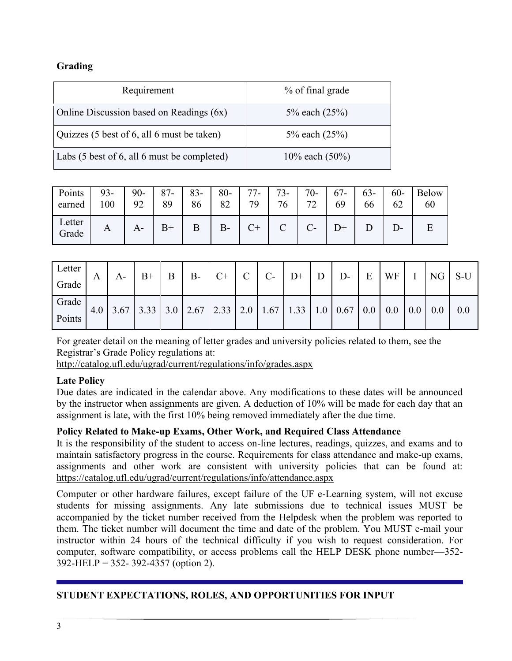# **Grading**

| Requirement                                 | % of final grade  |
|---------------------------------------------|-------------------|
| Online Discussion based on Readings (6x)    | 5% each $(25%)$   |
| Quizzes (5 best of 6, all 6 must be taken)  | 5% each $(25%)$   |
| Labs (5 best of 6, all 6 must be completed) | 10% each $(50\%)$ |

| Points 93-<br>earned | 100 | $90 -$<br>92 | 87-<br>89 | $83 - 80 -$<br>86 | 82    | $77-$<br>79 | 76           | $73 - 70 - 1$<br>72 | $1\,67$ - $1$<br>69 | $63 -$<br>66 | $60-$<br>62 | Below<br>60 |
|----------------------|-----|--------------|-----------|-------------------|-------|-------------|--------------|---------------------|---------------------|--------------|-------------|-------------|
| Letter<br>Grade      | A   |              | $B+$      |                   | $B -$ | $C+$        | $\mathbf{C}$ |                     |                     |              |             |             |

| Letter |   |                                                                                                                                                                                 | $B+$ | B | $B-$ | $C+$ | $\mathbf C$ | $\overline{C}$ | $\mathsf{D}^+$ | $\mid$ D $\mid$ | $D$ - | $E$ WF $I$ NG S-U |  |     |
|--------|---|---------------------------------------------------------------------------------------------------------------------------------------------------------------------------------|------|---|------|------|-------------|----------------|----------------|-----------------|-------|-------------------|--|-----|
| Grade  | A | $A -$                                                                                                                                                                           |      |   |      |      |             |                |                |                 |       |                   |  |     |
| Grade  |   | 4.0 $\mid$ 3.67 $\mid$ 3.33 $\mid$ 3.0 $\mid$ 2.67 $\mid$ 2.33 $\mid$ 2.0 $\mid$ 1.67 $\mid$ 1.33 $\mid$ 1.0 $\mid$ 0.67 $\mid$ 0.0 $\mid$ 0.0 $\mid$ 0.0 $\mid$ 0.0 $\mid$ 0.0 |      |   |      |      |             |                |                |                 |       |                   |  | 0.0 |
| Points |   |                                                                                                                                                                                 |      |   |      |      |             |                |                |                 |       |                   |  |     |

For greater detail on the meaning of letter grades and university policies related to them, see the Registrar's Grade Policy regulations at:

<http://catalog.ufl.edu/ugrad/current/regulations/info/grades.aspx>

### **Late Policy**

Due dates are indicated in the calendar above. Any modifications to these dates will be announced by the instructor when assignments are given. A deduction of 10% will be made for each day that an assignment is late, with the first 10% being removed immediately after the due time.

# **Policy Related to Make-up Exams, Other Work, and Required Class Attendance**

It is the responsibility of the student to access on-line lectures, readings, quizzes, and exams and to maintain satisfactory progress in the course. Requirements for class attendance and make-up exams, assignments and other work are consistent with university policies that can be found at: <https://catalog.ufl.edu/ugrad/current/regulations/info/attendance.aspx>

Computer or other hardware failures, except failure of the UF e-Learning system, will not excuse students for missing assignments. Any late submissions due to technical issues MUST be accompanied by the ticket number received from the Helpdesk when the problem was reported to them. The ticket number will document the time and date of the problem. You MUST e-mail your instructor within 24 hours of the technical difficulty if you wish to request consideration. For computer, software compatibility, or access problems call the HELP DESK phone number—352- 392-HELP = 352- 392-4357 (option 2).

# **STUDENT EXPECTATIONS, ROLES, AND OPPORTUNITIES FOR INPUT**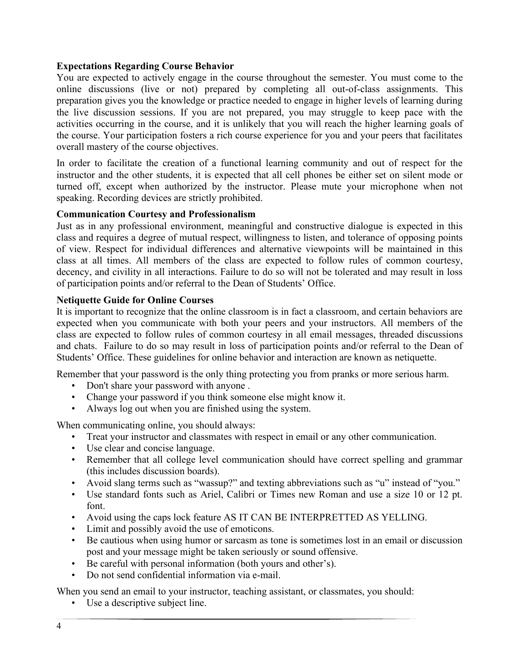### **Expectations Regarding Course Behavior**

You are expected to actively engage in the course throughout the semester. You must come to the online discussions (live or not) prepared by completing all out-of-class assignments. This preparation gives you the knowledge or practice needed to engage in higher levels of learning during the live discussion sessions. If you are not prepared, you may struggle to keep pace with the activities occurring in the course, and it is unlikely that you will reach the higher learning goals of the course. Your participation fosters a rich course experience for you and your peers that facilitates overall mastery of the course objectives.

In order to facilitate the creation of a functional learning community and out of respect for the instructor and the other students, it is expected that all cell phones be either set on silent mode or turned off, except when authorized by the instructor. Please mute your microphone when not speaking. Recording devices are strictly prohibited.

### **Communication Courtesy and Professionalism**

Just as in any professional environment, meaningful and constructive dialogue is expected in this class and requires a degree of mutual respect, willingness to listen, and tolerance of opposing points of view. Respect for individual differences and alternative viewpoints will be maintained in this class at all times. All members of the class are expected to follow rules of common courtesy, decency, and civility in all interactions. Failure to do so will not be tolerated and may result in loss of participation points and/or referral to the Dean of Students' Office.

#### **Netiquette Guide for Online Courses**

It is important to recognize that the online classroom is in fact a classroom, and certain behaviors are expected when you communicate with both your peers and your instructors. All members of the class are expected to follow rules of common courtesy in all email messages, threaded discussions and chats. Failure to do so may result in loss of participation points and/or referral to the Dean of Students' Office. These guidelines for online behavior and interaction are known as netiquette.

Remember that your password is the only thing protecting you from pranks or more serious harm.

- Don't share your password with anyone .
- Change your password if you think someone else might know it.
- Always log out when you are finished using the system.

When communicating online, you should always:

- Treat your instructor and classmates with respect in email or any other communication.
- Use clear and concise language.
- Remember that all college level communication should have correct spelling and grammar (this includes discussion boards).
- Avoid slang terms such as "wassup?" and texting abbreviations such as "u" instead of "you."
- Use standard fonts such as Ariel, Calibri or Times new Roman and use a size 10 or 12 pt. font.
- Avoid using the caps lock feature AS IT CAN BE INTERPRETTED AS YELLING.
- Limit and possibly avoid the use of emoticons.
- Be cautious when using humor or sarcasm as tone is sometimes lost in an email or discussion post and your message might be taken seriously or sound offensive.
- Be careful with personal information (both yours and other's).
- Do not send confidential information via e-mail.

When you send an email to your instructor, teaching assistant, or classmates, you should:

• Use a descriptive subject line.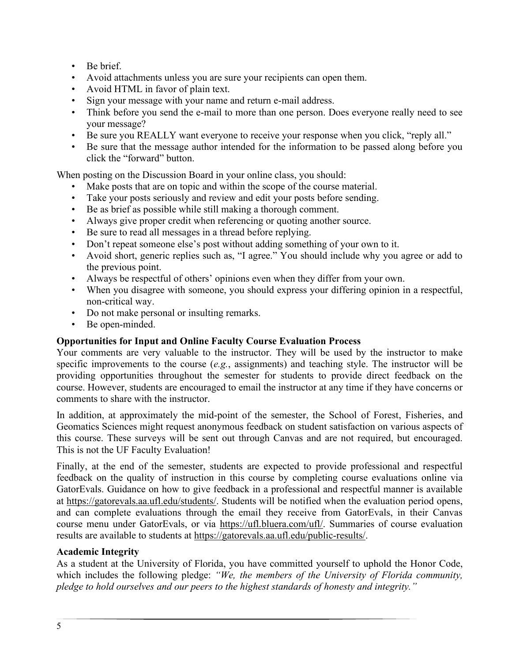- Be brief.
- Avoid attachments unless you are sure your recipients can open them.
- Avoid HTML in favor of plain text.
- Sign your message with your name and return e-mail address.
- Think before you send the e-mail to more than one person. Does everyone really need to see your message?
- Be sure you REALLY want everyone to receive your response when you click, "reply all."
- Be sure that the message author intended for the information to be passed along before you click the "forward" button.

When posting on the Discussion Board in your online class, you should:

- Make posts that are on topic and within the scope of the course material.
- Take your posts seriously and review and edit your posts before sending.
- Be as brief as possible while still making a thorough comment.
- Always give proper credit when referencing or quoting another source.
- Be sure to read all messages in a thread before replying.
- Don't repeat someone else's post without adding something of your own to it.
- Avoid short, generic replies such as, "I agree." You should include why you agree or add to the previous point.
- Always be respectful of others' opinions even when they differ from your own.
- When you disagree with someone, you should express your differing opinion in a respectful, non-critical way.
- Do not make personal or insulting remarks.
- Be open-minded.

# **Opportunities for Input and Online Faculty Course Evaluation Process**

Your comments are very valuable to the instructor. They will be used by the instructor to make specific improvements to the course (*e.g.*, assignments) and teaching style. The instructor will be providing opportunities throughout the semester for students to provide direct feedback on the course. However, students are encouraged to email the instructor at any time if they have concerns or comments to share with the instructor.

In addition, at approximately the mid-point of the semester, the School of Forest, Fisheries, and Geomatics Sciences might request anonymous feedback on student satisfaction on various aspects of this course. These surveys will be sent out through Canvas and are not required, but encouraged. This is not the UF Faculty Evaluation!

Finally, at the end of the semester, students are expected to provide professional and respectful feedback on the quality of instruction in this course by completing course evaluations online via GatorEvals. Guidance on how to give feedback in a professional and respectful manner is available at [https://gatorevals.aa.ufl.edu/students/.](https://gatorevals.aa.ufl.edu/students/) Students will be notified when the evaluation period opens, and can complete evaluations through the email they receive from GatorEvals, in their Canvas course menu under GatorEvals, or via [https://ufl.bluera.com/ufl/.](https://ufl.bluera.com/ufl/) Summaries of course evaluation results are available to students at [https://gatorevals.aa.ufl.edu/public-results/.](https://gatorevals.aa.ufl.edu/public-results/)

### **Academic Integrity**

As a student at the University of Florida, you have committed yourself to uphold the Honor Code, which includes the following pledge: *"We, the members of the University of Florida community, pledge to hold ourselves and our peers to the highest standards of honesty and integrity."*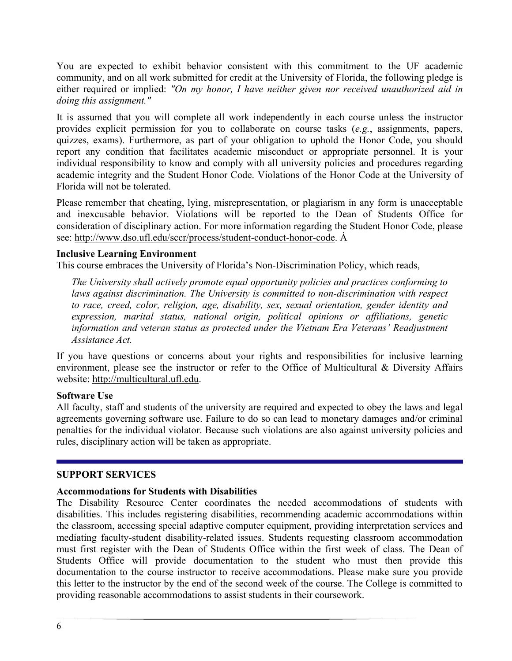You are expected to exhibit behavior consistent with this commitment to the UF academic community, and on all work submitted for credit at the University of Florida, the following pledge is either required or implied: *"On my honor, I have neither given nor received unauthorized aid in doing this assignment."*

It is assumed that you will complete all work independently in each course unless the instructor provides explicit permission for you to collaborate on course tasks (*e.g.*, assignments, papers, quizzes, exams). Furthermore, as part of your obligation to uphold the Honor Code, you should report any condition that facilitates academic misconduct or appropriate personnel. It is your individual responsibility to know and comply with all university policies and procedures regarding academic integrity and the Student Honor Code. Violations of the Honor Code at the University of Florida will not be tolerated.

Please remember that cheating, lying, misrepresentation, or plagiarism in any form is unacceptable and inexcusable behavior. Violations will be reported to the Dean of Students Office for consideration of disciplinary action. For more information regarding the Student Honor Code, please see: [http://www.dso.ufl.edu/sccr/process/student-conduct-honor-code.](http://www.dso.ufl.edu/sccr/process/student-conduct-honor-code) À

### **Inclusive Learning Environment**

This course embraces the University of Florida's Non-Discrimination Policy, which reads,

*The University shall actively promote equal opportunity policies and practices conforming to laws against discrimination. The University is committed to non-discrimination with respect to race, creed, color, religion, age, disability, sex, sexual orientation, gender identity and expression, marital status, national origin, political opinions or affiliations, genetic information and veteran status as protected under the Vietnam Era Veterans' Readjustment Assistance Act.*

If you have questions or concerns about your rights and responsibilities for inclusive learning environment, please see the instructor or refer to the Office of Multicultural & Diversity Affairs website: [http://multicultural.ufl.edu.](http://multicultural.ufl.edu/)

#### **Software Use**

All faculty, staff and students of the university are required and expected to obey the laws and legal agreements governing software use. Failure to do so can lead to monetary damages and/or criminal penalties for the individual violator. Because such violations are also against university policies and rules, disciplinary action will be taken as appropriate.

#### **SUPPORT SERVICES**

### **Accommodations for Students with Disabilities**

The Disability Resource Center coordinates the needed accommodations of students with disabilities. This includes registering disabilities, recommending academic accommodations within the classroom, accessing special adaptive computer equipment, providing interpretation services and mediating faculty-student disability-related issues. Students requesting classroom accommodation must first register with the Dean of Students Office within the first week of class. The Dean of Students Office will provide documentation to the student who must then provide this documentation to the course instructor to receive accommodations. Please make sure you provide this letter to the instructor by the end of the second week of the course. The College is committed to providing reasonable accommodations to assist students in their coursework.